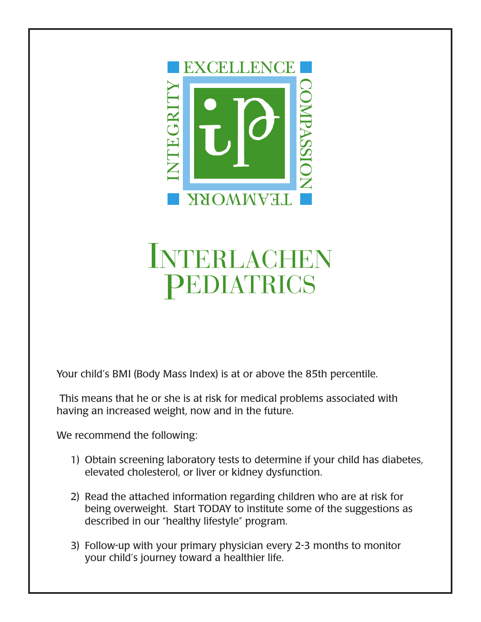

# INTERLACHEN PEDIATRICS

Your child's BMI (Body Mass Index) is at or above the 85th percentile.

 This means that he or she is at risk for medical problems associated with having an increased weight, now and in the future.

We recommend the following:

- 1) Obtain screening laboratory tests to determine if your child has diabetes, elevated cholesterol, or liver or kidney dysfunction.
- 2) Read the attached information regarding children who are at risk for being overweight. Start TODAY to institute some of the suggestions as described in our "healthy lifestyle" program.
- 3) Follow-up with your primary physician every 2-3 months to monitor your child's journey toward a healthier life.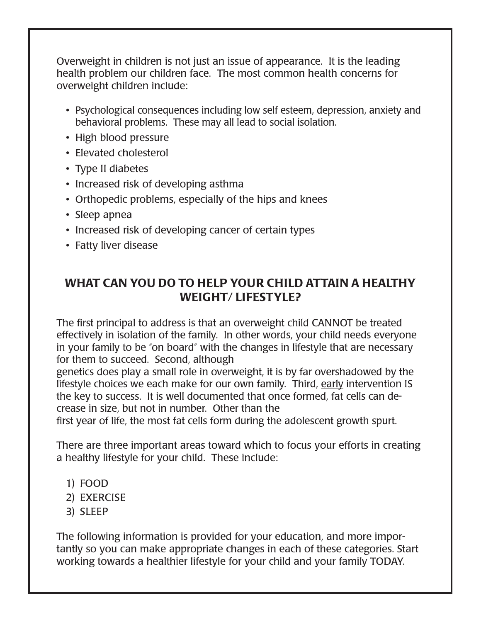Overweight in children is not just an issue of appearance. It is the leading health problem our children face. The most common health concerns for overweight children include:

- Psychological consequences including low self esteem, depression, anxiety and behavioral problems. These may all lead to social isolation.
- High blood pressure
- Elevated cholesterol
- Type II diabetes
- Increased risk of developing asthma
- Orthopedic problems, especially of the hips and knees
- Sleep apnea
- Increased risk of developing cancer of certain types
- Fatty liver disease

## **WHAT CAN YOU DO TO HELP YOUR CHILD ATTAIN A HEALTHY WEIGHT/ LIFESTYLE?**

The first principal to address is that an overweight child CANNOT be treated effectively in isolation of the family. In other words, your child needs everyone in your family to be "on board" with the changes in lifestyle that are necessary for them to succeed. Second, although

genetics does play a small role in overweight, it is by far overshadowed by the lifestyle choices we each make for our own family. Third, early intervention IS the key to success. It is well documented that once formed, fat cells can decrease in size, but not in number. Other than the

first year of life, the most fat cells form during the adolescent growth spurt.

There are three important areas toward which to focus your efforts in creating a healthy lifestyle for your child. These include:

- 1) FOOD
- 2) EXERCISE
- 3) SLEEP

The following information is provided for your education, and more importantly so you can make appropriate changes in each of these categories. Start working towards a healthier lifestyle for your child and your family TODAY.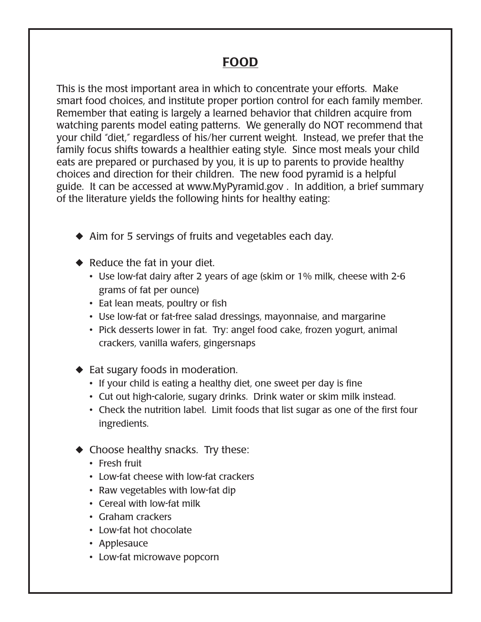### **FOOD**

This is the most important area in which to concentrate your efforts. Make smart food choices, and institute proper portion control for each family member. Remember that eating is largely a learned behavior that children acquire from watching parents model eating patterns. We generally do NOT recommend that your child "diet," regardless of his/her current weight. Instead, we prefer that the family focus shifts towards a healthier eating style. Since most meals your child eats are prepared or purchased by you, it is up to parents to provide healthy choices and direction for their children. The new food pyramid is a helpful guide. It can be accessed at www.MyPyramid.gov . In addition, a brief summary of the literature yields the following hints for healthy eating:

- ◆ Aim for 5 servings of fruits and vegetables each day.
- ◆ Reduce the fat in your diet.
	- Use low-fat dairy after 2 years of age (skim or 1% milk, cheese with 2-6 grams of fat per ounce)
	- Eat lean meats, poultry or fish
	- Use low-fat or fat-free salad dressings, mayonnaise, and margarine
	- Pick desserts lower in fat. Try: angel food cake, frozen yogurt, animal crackers, vanilla wafers, gingersnaps
- ◆ Eat sugary foods in moderation.
	- If your child is eating a healthy diet, one sweet per day is fine
	- Cut out high-calorie, sugary drinks. Drink water or skim milk instead.
	- Check the nutrition label. Limit foods that list sugar as one of the first four ingredients.
- ◆ Choose healthy snacks. Try these:
	- Fresh fruit
	- Low-fat cheese with low-fat crackers
	- Raw vegetables with low-fat dip
	- Cereal with low-fat milk
	- Graham crackers
	- Low-fat hot chocolate
	- Applesauce
	- Low-fat microwave popcorn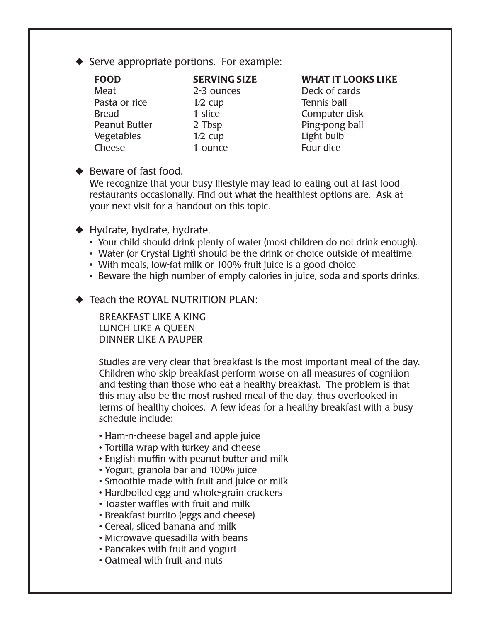◆ Serve appropriate portions. For example:

| <b>FOOD</b>          | <b>SERVING SIZE</b> | <b>WHAT IT LOOKS LIKE</b> |
|----------------------|---------------------|---------------------------|
| Meat                 | 2-3 ounces          | Deck of cards             |
| Pasta or rice        | $1/2$ cup           | <b>Tennis ball</b>        |
| <b>Bread</b>         | 1 slice             | Computer disk             |
| <b>Peanut Butter</b> | 2 Tbsp              | Ping-pong ball            |
| Vegetables           | $1/2$ cup           | Light bulb                |
| Cheese               | 1 ounce             | Four dice                 |
|                      |                     |                           |

#### ◆ Beware of fast food.

We recognize that your busy lifestyle may lead to eating out at fast food restaurants occasionally. Find out what the healthiest options are. Ask at your next visit for a handout on this topic.

#### ◆ Hydrate, hydrate, hydrate.

- Your child should drink plenty of water (most children do not drink enough).
- Water (or Crystal Light) should be the drink of choice outside of mealtime.
- With meals, low-fat milk or 100% fruit juice is a good choice.
- Beware the high number of empty calories in juice, soda and sports drinks.

#### ◆ Teach the ROYAL NUTRITION PLAN:

BREAKFAST LIKE A KING LUNCH LIKE A QUEEN DINNER LIKE A PAUPER

Studies are very clear that breakfast is the most important meal of the day. Children who skip breakfast perform worse on all measures of cognition and testing than those who eat a healthy breakfast. The problem is that this may also be the most rushed meal of the day, thus overlooked in terms of healthy choices. A few ideas for a healthy breakfast with a busy schedule include:

- Ham-n-cheese bagel and apple juice
- Tortilla wrap with turkey and cheese
- English muffin with peanut butter and milk
- Yogurt, granola bar and 100% juice
- Smoothie made with fruit and juice or milk
- Hardboiled egg and whole-grain crackers
- Toaster waffles with fruit and milk
- Breakfast burrito (eggs and cheese)
- Cereal, sliced banana and milk
- Microwave quesadilla with beans
- Pancakes with fruit and yogurt
- Oatmeal with fruit and nuts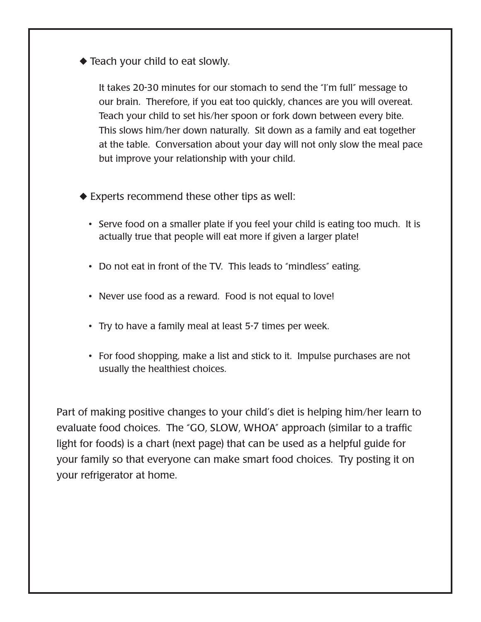◆ Teach your child to eat slowly.

It takes 20-30 minutes for our stomach to send the "I'm full" message to our brain. Therefore, if you eat too quickly, chances are you will overeat. Teach your child to set his/her spoon or fork down between every bite. This slows him/her down naturally. Sit down as a family and eat together at the table. Conversation about your day will not only slow the meal pace but improve your relationship with your child.

- ◆ Experts recommend these other tips as well:
	- Serve food on a smaller plate if you feel your child is eating too much. It is actually true that people will eat more if given a larger plate!
	- Do not eat in front of the TV. This leads to "mindless" eating.
	- Never use food as a reward. Food is not equal to love!
	- Try to have a family meal at least 5-7 times per week.
	- For food shopping, make a list and stick to it. Impulse purchases are not usually the healthiest choices.

Part of making positive changes to your child's diet is helping him/her learn to evaluate food choices. The "GO, SLOW, WHOA" approach (similar to a traffic light for foods) is a chart (next page) that can be used as a helpful guide for your family so that everyone can make smart food choices. Try posting it on your refrigerator at home.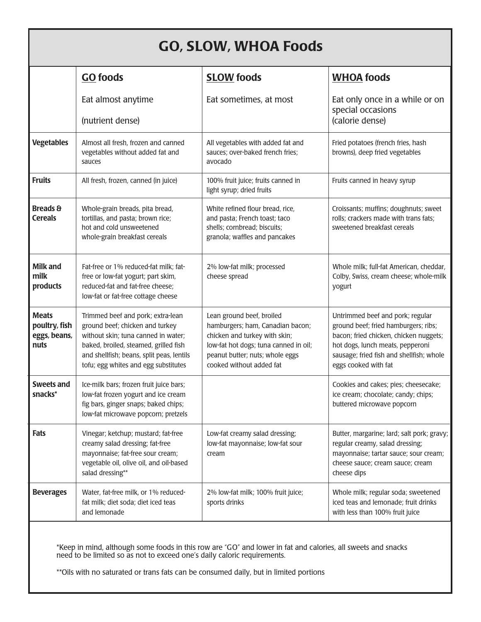| <b>GO, SLOW, WHOA Foods</b>                           |                                                                                                                                                                                                                                           |                                                                                                                                                                                                        |                                                                                                                                                                                                                            |  |  |  |
|-------------------------------------------------------|-------------------------------------------------------------------------------------------------------------------------------------------------------------------------------------------------------------------------------------------|--------------------------------------------------------------------------------------------------------------------------------------------------------------------------------------------------------|----------------------------------------------------------------------------------------------------------------------------------------------------------------------------------------------------------------------------|--|--|--|
|                                                       | <b>GO</b> foods                                                                                                                                                                                                                           | <b>SLOW</b> foods                                                                                                                                                                                      | <b>WHOA</b> foods                                                                                                                                                                                                          |  |  |  |
|                                                       | Eat almost anytime                                                                                                                                                                                                                        | Eat sometimes, at most                                                                                                                                                                                 | Eat only once in a while or on<br>special occasions                                                                                                                                                                        |  |  |  |
|                                                       | (nutrient dense)                                                                                                                                                                                                                          |                                                                                                                                                                                                        | (calorie dense)                                                                                                                                                                                                            |  |  |  |
| <b>Vegetables</b>                                     | Almost all fresh, frozen and canned<br>vegetables without added fat and<br>sauces                                                                                                                                                         | All vegetables with added fat and<br>sauces; over-baked french fries;<br>avocado                                                                                                                       | Fried potatoes (french fries, hash<br>browns), deep fried vegetables                                                                                                                                                       |  |  |  |
| <b>Fruits</b>                                         | All fresh, frozen, canned (in juice)                                                                                                                                                                                                      | 100% fruit juice; fruits canned in<br>light syrup; dried fruits                                                                                                                                        | Fruits canned in heavy syrup                                                                                                                                                                                               |  |  |  |
| <b>Breads &amp;</b><br><b>Cereals</b>                 | Whole-grain breads, pita bread,<br>tortillas, and pasta; brown rice;<br>hot and cold unsweetened<br>whole-grain breakfast cereals                                                                                                         | White refined flour bread, rice,<br>and pasta; French toast; taco<br>shells; cornbread; biscuits;<br>granola; waffles and pancakes                                                                     | Croissants; muffins; doughnuts; sweet<br>rolls; crackers made with trans fats;<br>sweetened breakfast cereals                                                                                                              |  |  |  |
| <b>Milk and</b><br>milk<br>products                   | Fat-free or 1% reduced-fat milk; fat-<br>free or low-fat yogurt; part skim,<br>reduced-fat and fat-free cheese;<br>low-fat or fat-free cottage cheese                                                                                     | 2% low-fat milk; processed<br>cheese spread                                                                                                                                                            | Whole milk; full-fat American, cheddar,<br>Colby, Swiss, cream cheese; whole-milk<br>yogurt                                                                                                                                |  |  |  |
| <b>Meats</b><br>poultry, fish<br>eggs, beans,<br>nuts | Trimmed beef and pork; extra-lean<br>ground beef; chicken and turkey<br>without skin; tuna canned in water;<br>baked, broiled, steamed, grilled fish<br>and shellfish; beans, split peas, lentils<br>tofu; egg whites and egg substitutes | Lean ground beef, broiled<br>hamburgers; ham, Canadian bacon;<br>chicken and turkey with skin;<br>low-fat hot dogs; tuna canned in oil;<br>peanut butter; nuts; whole eggs<br>cooked without added fat | Untrimmed beef and pork; regular<br>ground beef; fried hamburgers; ribs;<br>bacon; fried chicken, chicken nuggets;<br>hot dogs, lunch meats, pepperoni<br>sausage; fried fish and shellfish; whole<br>eggs cooked with fat |  |  |  |
| <b>Sweets and</b><br>snacks*                          | Ice-milk bars; frozen fruit juice bars;<br>low-fat frozen yogurt and ice cream<br>fig bars, ginger snaps; baked chips;<br>low-fat microwave popcorn; pretzels                                                                             |                                                                                                                                                                                                        | Cookies and cakes; pies; cheesecake;<br>ice cream; chocolate; candy; chips;<br>buttered microwave popcorn                                                                                                                  |  |  |  |
| <b>Fats</b>                                           | Vinegar; ketchup; mustard; fat-free<br>creamy salad dressing; fat-free<br>mayonnaise; fat-free sour cream;<br>vegetable oil, olive oil, and oil-based<br>salad dressing**                                                                 | Low-fat creamy salad dressing;<br>low-fat mayonnaise; low-fat sour<br>cream                                                                                                                            | Butter, margarine; lard; salt pork; gravy;<br>regular creamy, salad dressing;<br>mayonnaise; tartar sauce; sour cream;<br>cheese sauce; cream sauce; cream<br>cheese dips                                                  |  |  |  |
| <b>Beverages</b>                                      | Water, fat-free milk, or 1% reduced-<br>fat milk; diet soda; diet iced teas<br>and lemonade                                                                                                                                               | 2% low-fat milk; 100% fruit juice;<br>sports drinks                                                                                                                                                    | Whole milk; regular soda; sweetened<br>iced teas and lemonade; fruit drinks<br>with less than 100% fruit juice                                                                                                             |  |  |  |

\*Keep in mind, although some foods in this row are "GO" and lower in fat and calories, all sweets and snacks need to be limited so as not to exceed one's daily caloric requirements.

\*\*Oils with no saturated or trans fats can be consumed daily, but in limited portions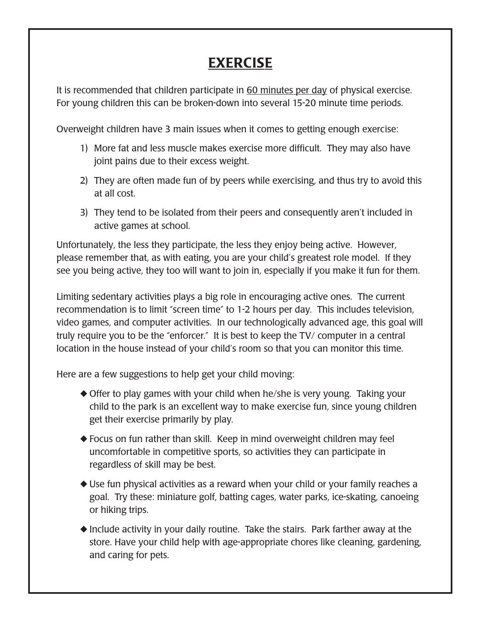# **EXERCISE**

It is recommended that children participate in 60 minutes per day of physical exercise. For young children this can be broken-down into several 15-20 minute time periods.

Overweight children have 3 main issues when it comes to getting enough exercise:

- 1) More fat and less muscle makes exercise more difficult. They may also have joint pains due to their excess weight.
- 2) They are often made fun of by peers while exercising, and thus try to avoid this at all cost.
- 3) They tend to be isolated from their peers and consequently aren't included in active games at school.

Unfortunately, the less they participate, the less they enjoy being active. However, please remember that, as with eating, you are your child's greatest role model. If they see you being active, they too will want to join in, especially if you make it fun for them.

Limiting sedentary activities plays a big role in encouraging active ones. The current recommendation is to limit "screen time" to 1-2 hours per day. This includes television, video games, and computer activities. In our technologically advanced age, this goal will truly require you to be the "enforcer." It is best to keep the TV/ computer in a central location in the house instead of your child's room so that you can monitor this time.

Here are a few suggestions to help get your child moving:

- ◆ Offer to play games with your child when he/she is very young. Taking your child to the park is an excellent way to make exercise fun, since young children get their exercise primarily by play.
- ◆ Focus on fun rather than skill. Keep in mind overweight children may feel uncomfortable in competitive sports, so activities they can participate in regardless of skill may be best.
- ◆ Use fun physical activities as a reward when your child or your family reaches a goal. Try these: miniature golf, batting cages, water parks, ice-skating, canoeing or hiking trips.
- ◆ Include activity in your daily routine. Take the stairs. Park farther away at the store. Have your child help with age-appropriate chores like cleaning, gardening, and caring for pets.